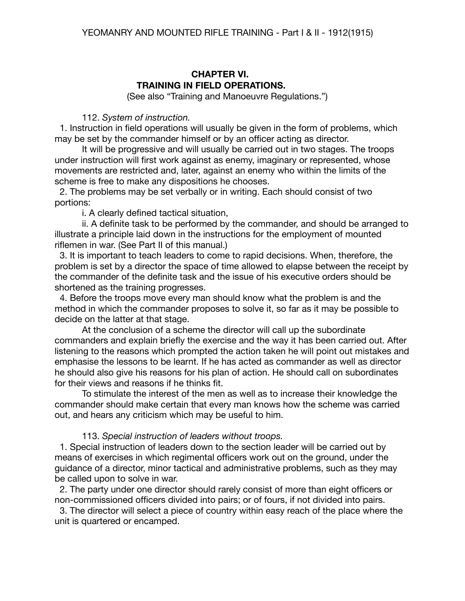# **CHAPTER VI. TRAINING IN FIELD OPERATIONS.**

(See also "Training and Manoeuvre Regulations.")

#### 112. *System of instruction.*

 1. Instruction in field operations will usually be given in the form of problems, which may be set by the commander himself or by an officer acting as director.

It will be progressive and will usually be carried out in two stages. The troops under instruction will first work against as enemy, imaginary or represented, whose movements are restricted and, later, against an enemy who within the limits of the scheme is free to make any dispositions he chooses.

 2. The problems may be set verbally or in writing. Each should consist of two portions:

i. A clearly defined tactical situation,

ii. A definite task to be performed by the commander, and should be arranged to illustrate a principle laid down in the instructions for the employment of mounted riflemen in war. (See Part II of this manual.)

 3. It is important to teach leaders to come to rapid decisions. When, therefore, the problem is set by a director the space of time allowed to elapse between the receipt by the commander of the definite task and the issue of his executive orders should be shortened as the training progresses.

 4. Before the troops move every man should know what the problem is and the method in which the commander proposes to solve it, so far as it may be possible to decide on the latter at that stage.

At the conclusion of a scheme the director will call up the subordinate commanders and explain briefly the exercise and the way it has been carried out. After listening to the reasons which prompted the action taken he will point out mistakes and emphasise the lessons to be learnt. If he has acted as commander as well as director he should also give his reasons for his plan of action. He should call on subordinates for their views and reasons if he thinks fit.

To stimulate the interest of the men as well as to increase their knowledge the commander should make certain that every man knows how the scheme was carried out, and hears any criticism which may be useful to him.

#### 113. *Special instruction of leaders without troops.*

 1. Special instruction of leaders down to the section leader will be carried out by means of exercises in which regimental officers work out on the ground, under the guidance of a director, minor tactical and administrative problems, such as they may be called upon to solve in war.

 2. The party under one director should rarely consist of more than eight officers or non-commissioned officers divided into pairs; or of fours, if not divided into pairs.

 3. The director will select a piece of country within easy reach of the place where the unit is quartered or encamped.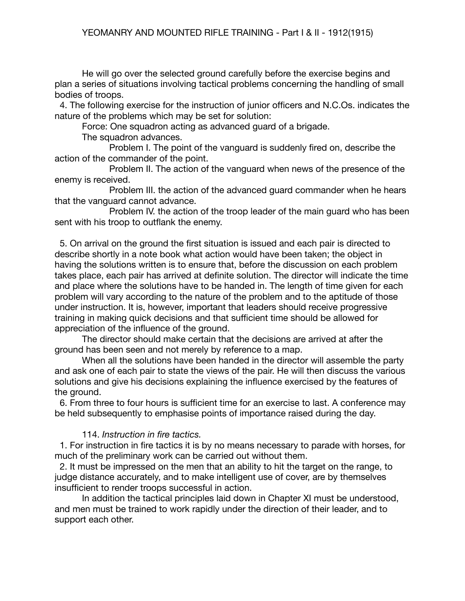He will go over the selected ground carefully before the exercise begins and plan a series of situations involving tactical problems concerning the handling of small bodies of troops.

 4. The following exercise for the instruction of junior officers and N.C.Os. indicates the nature of the problems which may be set for solution:

Force: One squadron acting as advanced guard of a brigade.

The squadron advances.

Problem I. The point of the vanguard is suddenly fired on, describe the action of the commander of the point.

Problem II. The action of the vanguard when news of the presence of the enemy is received.

Problem III. the action of the advanced guard commander when he hears that the vanguard cannot advance.

Problem IV. the action of the troop leader of the main guard who has been sent with his troop to outflank the enemy.

 5. On arrival on the ground the first situation is issued and each pair is directed to describe shortly in a note book what action would have been taken; the object in having the solutions written is to ensure that, before the discussion on each problem takes place, each pair has arrived at definite solution. The director will indicate the time and place where the solutions have to be handed in. The length of time given for each problem will vary according to the nature of the problem and to the aptitude of those under instruction. It is, however, important that leaders should receive progressive training in making quick decisions and that sufficient time should be allowed for appreciation of the influence of the ground.

The director should make certain that the decisions are arrived at after the ground has been seen and not merely by reference to a map.

When all the solutions have been handed in the director will assemble the party and ask one of each pair to state the views of the pair. He will then discuss the various solutions and give his decisions explaining the influence exercised by the features of the ground.

 6. From three to four hours is sufficient time for an exercise to last. A conference may be held subsequently to emphasise points of importance raised during the day.

## 114. *Instruction in fire tactics.*

1. For instruction in fire tactics it is by no means necessary to parade with horses, for much of the preliminary work can be carried out without them.

 2. It must be impressed on the men that an ability to hit the target on the range, to judge distance accurately, and to make intelligent use of cover, are by themselves insufficient to render troops successful in action.

In addition the tactical principles laid down in Chapter XI must be understood, and men must be trained to work rapidly under the direction of their leader, and to support each other.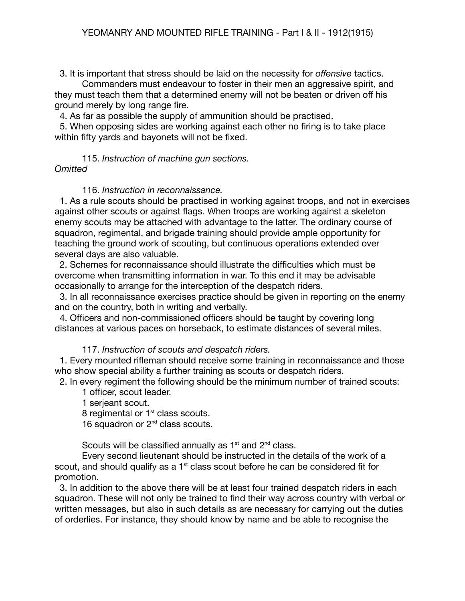3. It is important that stress should be laid on the necessity for *offensive* tactics.

Commanders must endeavour to foster in their men an aggressive spirit, and they must teach them that a determined enemy will not be beaten or driven off his ground merely by long range fire.

4. As far as possible the supply of ammunition should be practised.

 5. When opposing sides are working against each other no firing is to take place within fifty yards and bayonets will not be fixed.

### 115. *Instruction of machine gun sections. Omitted*

### 116. *Instruction in reconnaissance.*

1. As a rule scouts should be practised in working against troops, and not in exercises against other scouts or against flags. When troops are working against a skeleton enemy scouts may be attached with advantage to the latter. The ordinary course of squadron, regimental, and brigade training should provide ample opportunity for teaching the ground work of scouting, but continuous operations extended over several days are also valuable.

 2. Schemes for reconnaissance should illustrate the difficulties which must be overcome when transmitting information in war. To this end it may be advisable occasionally to arrange for the interception of the despatch riders.

 3. In all reconnaissance exercises practice should be given in reporting on the enemy and on the country, both in writing and verbally.

 4. Officers and non-commissioned officers should be taught by covering long distances at various paces on horseback, to estimate distances of several miles.

#### 117. *Instruction of scouts and despatch riders.*

 1. Every mounted rifleman should receive some training in reconnaissance and those who show special ability a further training as scouts or despatch riders.

2. In every regiment the following should be the minimum number of trained scouts:

1 officer, scout leader.

1 serjeant scout.

8 regimental or 1<sup>st</sup> class scouts.

16 squadron or 2<sup>nd</sup> class scouts.

Scouts will be classified annually as  $1<sup>st</sup>$  and  $2<sup>nd</sup>$  class.

Every second lieutenant should be instructed in the details of the work of a scout, and should qualify as a  $1<sup>st</sup>$  class scout before he can be considered fit for promotion.

 3. In addition to the above there will be at least four trained despatch riders in each squadron. These will not only be trained to find their way across country with verbal or written messages, but also in such details as are necessary for carrying out the duties of orderlies. For instance, they should know by name and be able to recognise the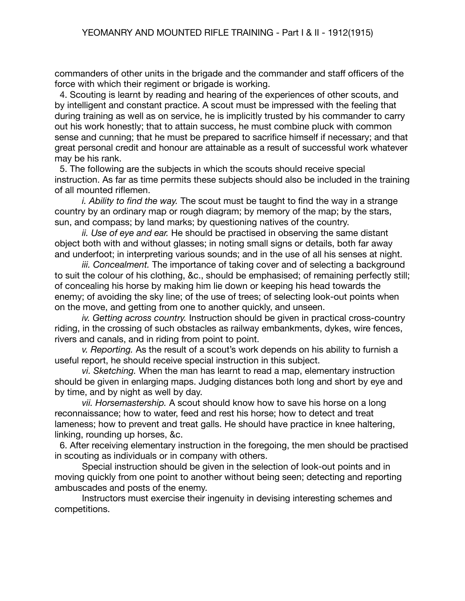commanders of other units in the brigade and the commander and staff officers of the force with which their regiment or brigade is working.

 4. Scouting is learnt by reading and hearing of the experiences of other scouts, and by intelligent and constant practice. A scout must be impressed with the feeling that during training as well as on service, he is implicitly trusted by his commander to carry out his work honestly; that to attain success, he must combine pluck with common sense and cunning; that he must be prepared to sacrifice himself if necessary; and that great personal credit and honour are attainable as a result of successful work whatever may be his rank.

 5. The following are the subjects in which the scouts should receive special instruction. As far as time permits these subjects should also be included in the training of all mounted riflemen.

*i. Ability to find the way.* The scout must be taught to find the way in a strange country by an ordinary map or rough diagram; by memory of the map; by the stars, sun, and compass; by land marks; by questioning natives of the country.

*ii. Use of eye and ear.* He should be practised in observing the same distant object both with and without glasses; in noting small signs or details, both far away and underfoot; in interpreting various sounds; and in the use of all his senses at night.

*iii. Concealment.* The importance of taking cover and of selecting a background to suit the colour of his clothing, &c., should be emphasised; of remaining perfectly still; of concealing his horse by making him lie down or keeping his head towards the enemy; of avoiding the sky line; of the use of trees; of selecting look-out points when on the move, and getting from one to another quickly, and unseen.

*iv. Getting across country.* Instruction should be given in practical cross-country riding, in the crossing of such obstacles as railway embankments, dykes, wire fences, rivers and canals, and in riding from point to point.

*v. Reporting.* As the result of a scout's work depends on his ability to furnish a useful report, he should receive special instruction in this subject.

*vi. Sketching.* When the man has learnt to read a map, elementary instruction should be given in enlarging maps. Judging distances both long and short by eye and by time, and by night as well by day.

*vii. Horsemastership.* A scout should know how to save his horse on a long reconnaissance; how to water, feed and rest his horse; how to detect and treat lameness; how to prevent and treat galls. He should have practice in knee haltering, linking, rounding up horses, &c.

 6. After receiving elementary instruction in the foregoing, the men should be practised in scouting as individuals or in company with others.

Special instruction should be given in the selection of look-out points and in moving quickly from one point to another without being seen; detecting and reporting ambuscades and posts of the enemy.

Instructors must exercise their ingenuity in devising interesting schemes and competitions.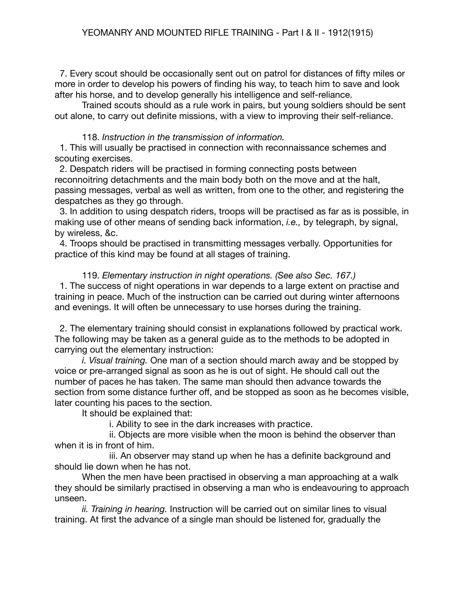7. Every scout should be occasionally sent out on patrol for distances of fifty miles or more in order to develop his powers of finding his way, to teach him to save and look after his horse, and to develop generally his intelligence and self-reliance.

Trained scouts should as a rule work in pairs, but young soldiers should be sent out alone, to carry out definite missions, with a view to improving their self-reliance.

### 118. *Instruction in the transmission of information.*

 1. This will usually be practised in connection with reconnaissance schemes and scouting exercises.

 2. Despatch riders will be practised in forming connecting posts between reconnoitring detachments and the main body both on the move and at the halt, passing messages, verbal as well as written, from one to the other, and registering the despatches as they go through.

 3. In addition to using despatch riders, troops will be practised as far as is possible, in making use of other means of sending back information, *i.e.,* by telegraph, by signal, by wireless, &c.

 4. Troops should be practised in transmitting messages verbally. Opportunities for practice of this kind may be found at all stages of training.

119. *Elementary instruction in night operations. (See also Sec. 167.)* 1. The success of night operations in war depends to a large extent on practise and training in peace. Much of the instruction can be carried out during winter afternoons and evenings. It will often be unnecessary to use horses during the training.

 2. The elementary training should consist in explanations followed by practical work. The following may be taken as a general guide as to the methods to be adopted in carrying out the elementary instruction:

*i. Visual training.* One man of a section should march away and be stopped by voice or pre-arranged signal as soon as he is out of sight. He should call out the number of paces he has taken. The same man should then advance towards the section from some distance further off, and be stopped as soon as he becomes visible, later counting his paces to the section.

It should be explained that:

i. Ability to see in the dark increases with practice.

ii. Objects are more visible when the moon is behind the observer than when it is in front of him.

iii. An observer may stand up when he has a definite background and should lie down when he has not.

When the men have been practised in observing a man approaching at a walk they should be similarly practised in observing a man who is endeavouring to approach unseen.

*ii. Training in hearing.* Instruction will be carried out on similar lines to visual training. At first the advance of a single man should be listened for, gradually the